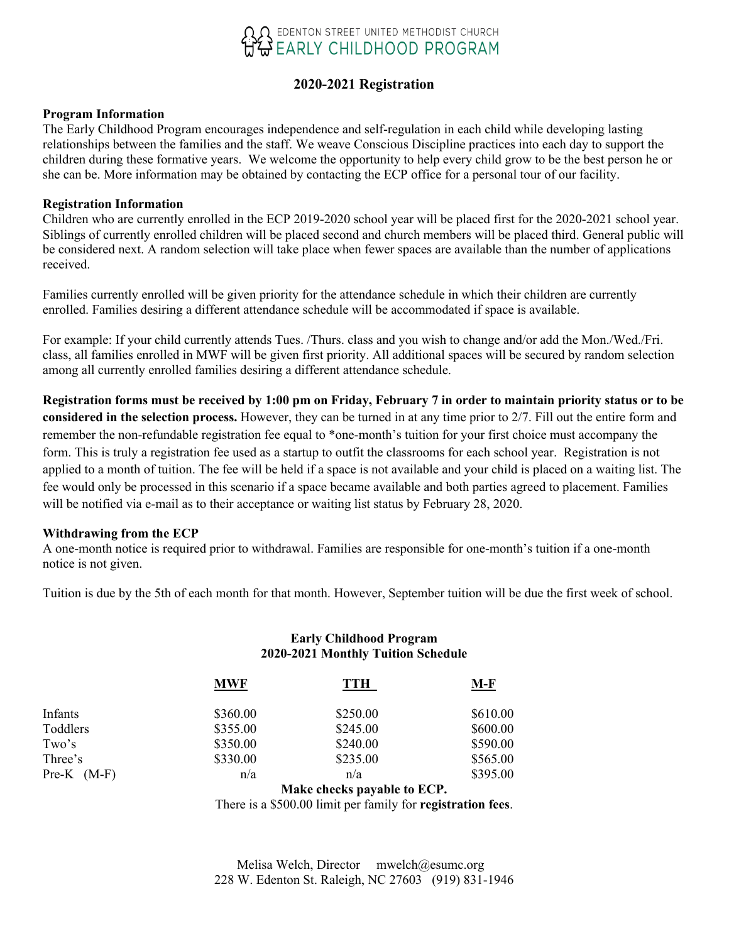

### **2020-2021 Registration**

#### **Program Information**

The Early Childhood Program encourages independence and self-regulation in each child while developing lasting relationships between the families and the staff. We weave Conscious Discipline practices into each day to support the children during these formative years. We welcome the opportunity to help every child grow to be the best person he or she can be. More information may be obtained by contacting the ECP office for a personal tour of our facility.

#### **Registration Information**

Children who are currently enrolled in the ECP 2019-2020 school year will be placed first for the 2020-2021 school year. Siblings of currently enrolled children will be placed second and church members will be placed third. General public will be considered next. A random selection will take place when fewer spaces are available than the number of applications received.

Families currently enrolled will be given priority for the attendance schedule in which their children are currently enrolled. Families desiring a different attendance schedule will be accommodated if space is available.

For example: If your child currently attends Tues. /Thurs. class and you wish to change and/or add the Mon./Wed./Fri. class, all families enrolled in MWF will be given first priority. All additional spaces will be secured by random selection among all currently enrolled families desiring a different attendance schedule.

**Registration forms must be received by 1:00 pm on Friday, February 7 in order to maintain priority status or to be considered in the selection process.** However, they can be turned in at any time prior to 2/7. Fill out the entire form and remember the non-refundable registration fee equal to \*one-month's tuition for your first choice must accompany the form. This is truly a registration fee used as a startup to outfit the classrooms for each school year. Registration is not applied to a month of tuition. The fee will be held if a space is not available and your child is placed on a waiting list. The fee would only be processed in this scenario if a space became available and both parties agreed to placement. Families will be notified via e-mail as to their acceptance or waiting list status by February 28, 2020.

#### **Withdrawing from the ECP**

A one-month notice is required prior to withdrawal. Families are responsible for one-month's tuition if a one-month notice is not given.

Tuition is due by the 5th of each month for that month. However, September tuition will be due the first week of school.

#### **Early Childhood Program 2020-2021 Monthly Tuition Schedule**

|                 | <b>MWF</b> | TTH                         | M-F      |
|-----------------|------------|-----------------------------|----------|
| Infants         | \$360.00   | \$250.00                    | \$610.00 |
| Toddlers        | \$355.00   | \$245.00                    | \$600.00 |
| Two's           | \$350.00   | \$240.00                    | \$590.00 |
| Three's         | \$330.00   | \$235.00                    | \$565.00 |
| $Pre-K$ $(M-F)$ | n/a        | n/a                         | \$395.00 |
|                 |            | Make checks payable to ECP. |          |

There is a \$500.00 limit per family for **registration fees**.

 Melisa Welch, Director mwelch@esumc.org 228 W. Edenton St. Raleigh, NC 27603 (919) 831-1946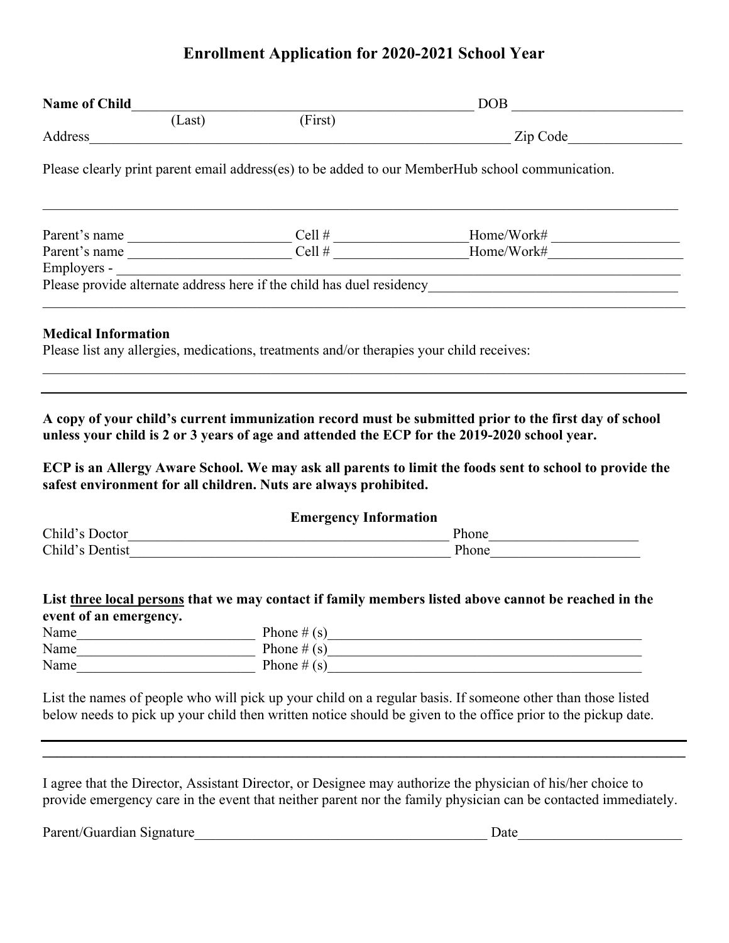# **Enrollment Application for 2020-2021 School Year**

| <b>Name of Child</b> (Last) (First) |  |                                                                                          | $\boxed{\text{DOB}}_{\text{max}}$                                                                                                                                                                                                                                                                                                                                                                                                                                                                                   |  |  |
|-------------------------------------|--|------------------------------------------------------------------------------------------|---------------------------------------------------------------------------------------------------------------------------------------------------------------------------------------------------------------------------------------------------------------------------------------------------------------------------------------------------------------------------------------------------------------------------------------------------------------------------------------------------------------------|--|--|
|                                     |  |                                                                                          |                                                                                                                                                                                                                                                                                                                                                                                                                                                                                                                     |  |  |
|                                     |  |                                                                                          |                                                                                                                                                                                                                                                                                                                                                                                                                                                                                                                     |  |  |
|                                     |  |                                                                                          | Please clearly print parent email address(es) to be added to our MemberHub school communication.                                                                                                                                                                                                                                                                                                                                                                                                                    |  |  |
|                                     |  |                                                                                          |                                                                                                                                                                                                                                                                                                                                                                                                                                                                                                                     |  |  |
|                                     |  |                                                                                          | Parent's name $\frac{\text{Cell}\# \text{Home/Work}\# \text{Home/Work}\# \text{Some/Work}\# \text{Some/Work}\# \text{Some/Work}\# \text{Some/Work}\# \text{Some/Work}\# \text{Some/Work}\# \text{Some/Work}\# \text{Some/Work}\# \text{Some/Work}\# \text{Some/Work}\# \text{Some/Work}\# \text{Some/Work}\# \text{Some/Work}\# \text{Some/Work}\# \text{Some/Work}\# \text{One/Work}\# \text{One/Work}\# \text{One/Work}\# \text{One/Work}\# \text{One/Work}\# \text{One/Work}\# \text{One/Work}\# \text{One/Work$ |  |  |
|                                     |  |                                                                                          |                                                                                                                                                                                                                                                                                                                                                                                                                                                                                                                     |  |  |
|                                     |  |                                                                                          |                                                                                                                                                                                                                                                                                                                                                                                                                                                                                                                     |  |  |
| <b>Medical Information</b>          |  | Please list any allergies, medications, treatments and/or therapies your child receives: |                                                                                                                                                                                                                                                                                                                                                                                                                                                                                                                     |  |  |
|                                     |  | safest environment for all children. Nuts are always prohibited.                         | A copy of your child's current immunization record must be submitted prior to the first day of school<br>unless your child is 2 or 3 years of age and attended the ECP for the 2019-2020 school year.<br>ECP is an Allergy Aware School. We may ask all parents to limit the foods sent to school to provide the                                                                                                                                                                                                    |  |  |
|                                     |  | <b>Emergency Information</b>                                                             |                                                                                                                                                                                                                                                                                                                                                                                                                                                                                                                     |  |  |
|                                     |  |                                                                                          |                                                                                                                                                                                                                                                                                                                                                                                                                                                                                                                     |  |  |
|                                     |  |                                                                                          |                                                                                                                                                                                                                                                                                                                                                                                                                                                                                                                     |  |  |
|                                     |  |                                                                                          | List three local persons that we may contact if family members listed above cannot be reached in the                                                                                                                                                                                                                                                                                                                                                                                                                |  |  |
| event of an emergency.              |  |                                                                                          |                                                                                                                                                                                                                                                                                                                                                                                                                                                                                                                     |  |  |
| Name                                |  | Phone $\#(s)$                                                                            | <u> 1990 - Johann Barbara, martin din bashkar (</u>                                                                                                                                                                                                                                                                                                                                                                                                                                                                 |  |  |
| Name                                |  | Phone $#(s)$                                                                             |                                                                                                                                                                                                                                                                                                                                                                                                                                                                                                                     |  |  |
| Name                                |  | Phone $# (s)$                                                                            |                                                                                                                                                                                                                                                                                                                                                                                                                                                                                                                     |  |  |
|                                     |  |                                                                                          | List the names of people who will pick up your child on a regular basis. If someone other than those listed                                                                                                                                                                                                                                                                                                                                                                                                         |  |  |
|                                     |  |                                                                                          | below needs to pick up your child then written notice should be given to the office prior to the pickup date.                                                                                                                                                                                                                                                                                                                                                                                                       |  |  |

Parent/Guardian Signature\_\_\_\_\_\_\_\_\_\_\_\_\_\_\_\_\_\_\_\_\_\_\_\_\_\_\_\_\_\_\_\_\_\_\_\_\_\_\_\_\_ Date\_\_\_\_\_\_\_\_\_\_\_\_\_\_\_\_\_\_\_\_\_\_\_